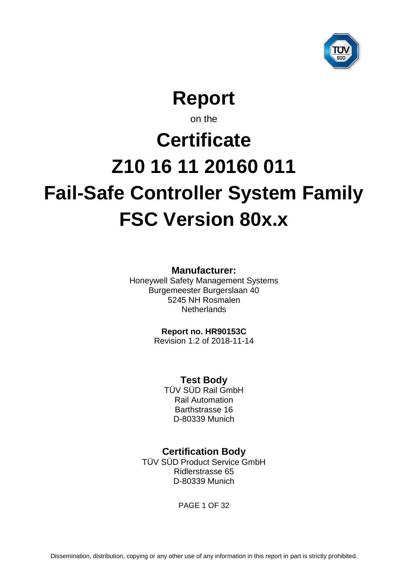

**Report**

on the

# <span id="page-0-6"></span><span id="page-0-5"></span><span id="page-0-4"></span>**Certificate Z10 16 11 20160 011 Fail-Safe Controller System Family FSC Version 80x.x**

**Manufacturer:**

<span id="page-0-3"></span>Honeywell Safety Management Systems Burgemeester Burgerslaan 40 5245 NH Rosmalen **Netherlands** 

<span id="page-0-1"></span><span id="page-0-0"></span>**Report no. HR90153C**

Revision 1.2 of 2018-11-14

<span id="page-0-2"></span>**Test Body**

TÜV SÜD Rail GmbH Rail Automation Barthstrasse 16 D-80339 Munich

**Certification Body**

TÜV SÜD Product Service GmbH Ridlerstrasse 65 D-80339 Munich

PAGE 1 OF 32

Dissemination, distribution, copying or any other use of any information in this report in part is strictly prohibited.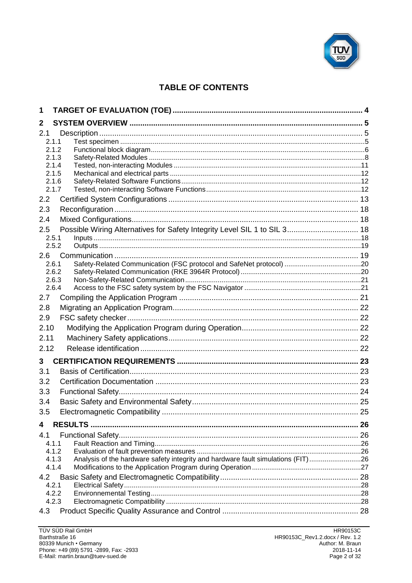

# **TABLE OF CONTENTS**

| 1            |                                                                                                    |  |
|--------------|----------------------------------------------------------------------------------------------------|--|
| $\mathbf{2}$ |                                                                                                    |  |
| 2.1          | 2.1.1                                                                                              |  |
|              | 2.1.2                                                                                              |  |
|              | 2.1.3<br>2.1.4                                                                                     |  |
|              | 2.1.5                                                                                              |  |
|              | 2.1.6                                                                                              |  |
|              | 2.1.7                                                                                              |  |
| 2.2          |                                                                                                    |  |
| 2.3          |                                                                                                    |  |
| 2.4          |                                                                                                    |  |
| 2.5          | Possible Wiring Alternatives for Safety Integrity Level SIL 1 to SIL 3 18                          |  |
|              | 2.5.1<br>2.5.2                                                                                     |  |
| 2.6          |                                                                                                    |  |
|              | 2.6.1                                                                                              |  |
|              | 2.6.2                                                                                              |  |
|              | 2.6.3                                                                                              |  |
|              | 2.6.4                                                                                              |  |
| 2.7          |                                                                                                    |  |
| 2.8          |                                                                                                    |  |
| 2.9          |                                                                                                    |  |
| 2.10         |                                                                                                    |  |
| 2.11         |                                                                                                    |  |
| 2.12         |                                                                                                    |  |
| 3            |                                                                                                    |  |
| 3.1          |                                                                                                    |  |
| 3.2          |                                                                                                    |  |
| 3.3          |                                                                                                    |  |
| 3.4          |                                                                                                    |  |
| 3.5          |                                                                                                    |  |
| 4            |                                                                                                    |  |
| 4.1          |                                                                                                    |  |
|              | 4.1.1                                                                                              |  |
|              | 4.1.2                                                                                              |  |
|              | Analysis of the hardware safety integrity and hardware fault simulations (FIT)26<br>4.1.3<br>4.1.4 |  |
| 4.2          |                                                                                                    |  |
|              | 4.2.1                                                                                              |  |
|              | 4.2.2                                                                                              |  |
|              | 4.2.3                                                                                              |  |
| 4.3          |                                                                                                    |  |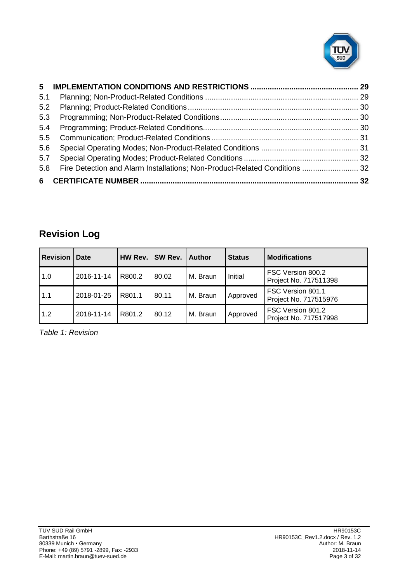

| 5.1 |                                                                            |  |
|-----|----------------------------------------------------------------------------|--|
| 5.2 |                                                                            |  |
| 5.3 |                                                                            |  |
| 5.4 |                                                                            |  |
| 5.5 |                                                                            |  |
| 5.6 |                                                                            |  |
| 5.7 |                                                                            |  |
| 5.8 | Fire Detection and Alarm Installations; Non-Product-Related Conditions  32 |  |
|     |                                                                            |  |

# **Revision Log**

| Revision | Date       | HW Rev. | SW Rev. | <b>Author</b> | <b>Status</b> | <b>Modifications</b>                       |
|----------|------------|---------|---------|---------------|---------------|--------------------------------------------|
| 1.0      | 2016-11-14 | R800.2  | 80.02   | M. Braun      | Initial       | FSC Version 800.2<br>Project No. 717511398 |
| 1.1      | 2018-01-25 | R801.1  | 80.11   | M. Braun      | Approved      | FSC Version 801.1<br>Project No. 717515976 |
| 1.2      | 2018-11-14 | R801.2  | 80.12   | M. Braun      | Approved      | FSC Version 801.2<br>Project No. 717517998 |

*Table 1: Revision*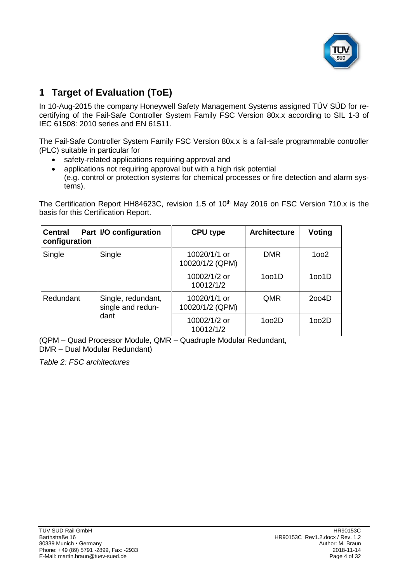<span id="page-3-1"></span>

# **1 Target of Evaluation (ToE)**

In 10-Aug-2015 the company [Honeywell Safety Management Systems](#page-0-3) assigned TÜV SÜD for recertifying of the [Fail-Safe Controller System Family](#page-0-4) [FSC Version 80x.x](#page-0-5) according to SIL 1-3 of IEC 61508: 2010 series and EN 61511.

The [Fail-Safe Controller System Family](#page-0-4) [FSC Version 80x.x](#page-0-5) is a fail-safe programmable controller (PLC) suitable in particular for

- safety-related applications requiring approval and
- applications not requiring approval but with a high risk potential (e.g. control or protection systems for chemical processes or fire detection and alarm systems).

The Certification Report HH84623C, revision 1.5 of 10<sup>th</sup> May 2016 on FSC Version 710.x is the basis for this Certification Report.

| <b>Central</b><br>configuration | Part   I/O configuration                | <b>CPU type</b>                 | <b>Architecture</b> | <b>Voting</b> |
|---------------------------------|-----------------------------------------|---------------------------------|---------------------|---------------|
| Single                          | Single                                  | 10020/1/1 or<br>10020/1/2 (QPM) | <b>DMR</b>          | 1002          |
|                                 |                                         | 10002/1/2 or<br>10012/1/2       | 1001D               | 1oo1D         |
| Redundant                       | Single, redundant,<br>single and redun- | 10020/1/1 or<br>10020/1/2 (QPM) | QMR                 | 2004D         |
|                                 | dant                                    | 10002/1/2 or<br>10012/1/2       | 1002D               | 1002D         |

(QPM – Quad Processor Module, QMR – Quadruple Modular Redundant, DMR – Dual Modular Redundant)

<span id="page-3-0"></span>*Table 2: FSC architectures*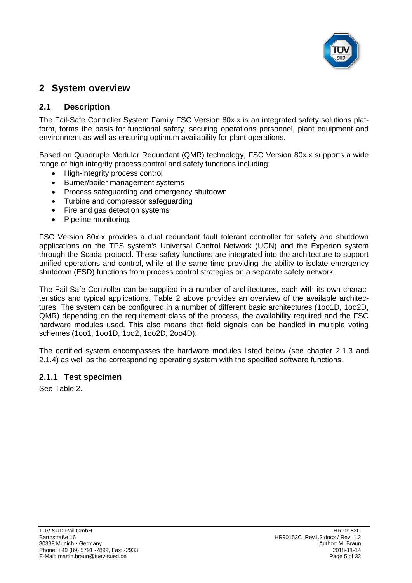

# **2 System overview**

# <span id="page-4-0"></span>**2.1 Description**

The [Fail-Safe Controller System Family](#page-0-4) [FSC Version 80x.x](#page-0-5) is an integrated safety solutions platform, forms the basis for functional safety, securing operations personnel, plant equipment and environment as well as ensuring optimum availability for plant operations.

Based on Quadruple Modular Redundant (QMR) technology, [FSC Version 80x.x](#page-0-5) supports a wide range of high integrity process control and safety functions including:

- High-integrity process control
- Burner/boiler management systems
- Process safeguarding and emergency shutdown
- Turbine and compressor safeguarding
- Fire and gas detection systems
- Pipeline monitoring.

[FSC Version 80x.x](#page-0-5) provides a dual redundant fault tolerant controller for safety and shutdown applications on the TPS system's Universal Control Network (UCN) and the Experion system through the Scada protocol. These safety functions are integrated into the architecture to support unified operations and control, while at the same time providing the ability to isolate emergency shutdown (ESD) functions from process control strategies on a separate safety network.

The Fail Safe Controller can be supplied in a number of architectures, each with its own characteristics and typical applications. [Table 2](#page-3-0) above provides an overview of the available architectures. The system can be configured in a number of different basic architectures (1oo1D, 1oo2D, QMR) depending on the requirement class of the process, the availability required and the FSC hardware modules used. This also means that field signals can be handled in multiple voting schemes (1oo1, 1oo1D, 1oo2, 1oo2D, 2oo4D).

The certified system encompasses the hardware modules listed below (see chapter [2.1.3](#page-7-0) and [2.1.4\)](#page-10-0) as well as the corresponding operating system with the specified software functions.

# **2.1.1 Test specimen**

See [Table 2.](#page-3-0)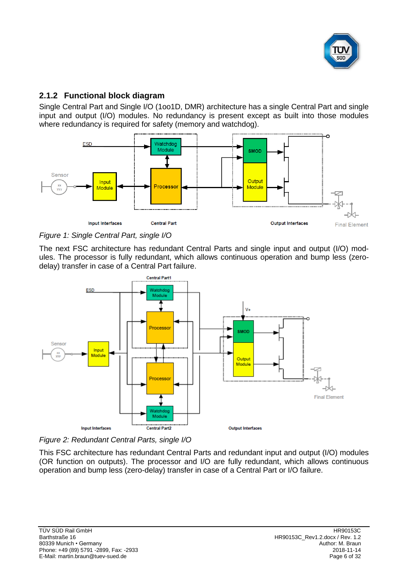

# **2.1.2 Functional block diagram**

Single Central Part and Single I/O (1oo1D, DMR) architecture has a single Central Part and single input and output (I/O) modules. No redundancy is present except as built into those modules where redundancy is required for safety (memory and watchdog).



*Figure 1: Single Central Part, single I/O*

The next FSC architecture has redundant Central Parts and single input and output (I/O) modules. The processor is fully redundant, which allows continuous operation and bump less (zerodelay) transfer in case of a Central Part failure.



*Figure 2: Redundant Central Parts, single I/O*

This FSC architecture has redundant Central Parts and redundant input and output (I/O) modules (OR function on outputs). The processor and I/O are fully redundant, which allows continuous operation and bump less (zero-delay) transfer in case of a Central Part or I/O failure.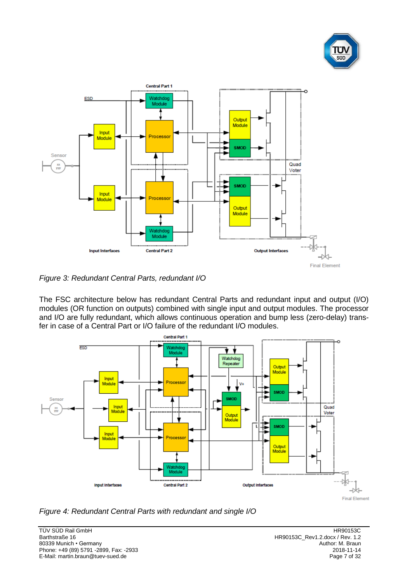



*Figure 3: Redundant Central Parts, redundant I/O*

The FSC architecture below has redundant Central Parts and redundant input and output (I/O) modules (OR function on outputs) combined with single input and output modules. The processor and I/O are fully redundant, which allows continuous operation and bump less (zero-delay) transfer in case of a Central Part or I/O failure of the redundant I/O modules.



*Figure 4: Redundant Central Parts with redundant and single I/O*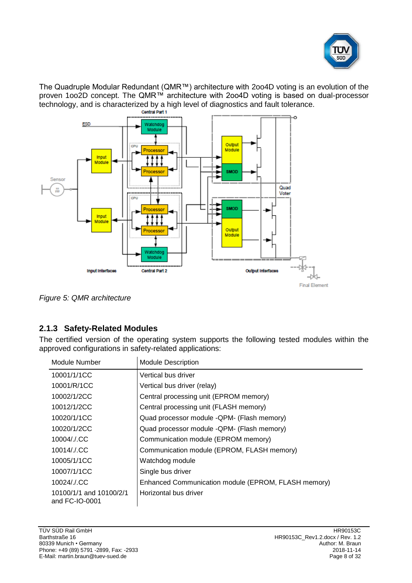

The Quadruple Modular Redundant (QMR™) architecture with 2oo4D voting is an evolution of the proven 1oo2D concept. The QMR™ architecture with 2oo4D voting is based on dual-processor technology, and is characterized by a high level of diagnostics and fault tolerance.



*Figure 5: QMR architecture*

# <span id="page-7-0"></span>**2.1.3 Safety-Related Modules**

The certified version of the operating system supports the following tested modules within the approved configurations in safety-related applications:

| Module Number                             | <b>Module Description</b>                           |
|-------------------------------------------|-----------------------------------------------------|
| 10001/1/1CC                               | Vertical bus driver                                 |
| 10001/R/1CC                               | Vertical bus driver (relay)                         |
| 10002/1/2CC                               | Central processing unit (EPROM memory)              |
| 10012/1/2CC                               | Central processing unit (FLASH memory)              |
| 10020/1/1CC                               | Quad processor module -QPM- (Flash memory)          |
| 10020/1/2CC                               | Quad processor module -QPM- (Flash memory)          |
| 10004/./.CC                               | Communication module (EPROM memory)                 |
| 10014/./.CC                               | Communication module (EPROM, FLASH memory)          |
| 10005/1/1CC                               | Watchdog module                                     |
| 10007/1/1CC                               | Single bus driver                                   |
| 10024/./.CC                               | Enhanced Communication module (EPROM, FLASH memory) |
| 10100/1/1 and 10100/2/1<br>and FC-IO-0001 | Horizontal bus driver                               |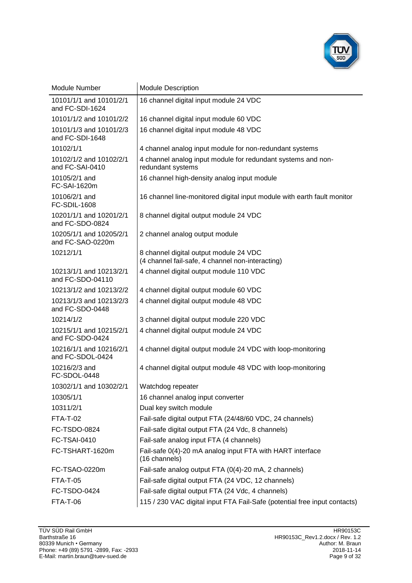

| Module Number                               | <b>Module Description</b>                                                                  |
|---------------------------------------------|--------------------------------------------------------------------------------------------|
| 10101/1/1 and 10101/2/1<br>and FC-SDI-1624  | 16 channel digital input module 24 VDC                                                     |
| 10101/1/2 and 10101/2/2                     | 16 channel digital input module 60 VDC                                                     |
| 10101/1/3 and 10101/2/3<br>and FC-SDI-1648  | 16 channel digital input module 48 VDC                                                     |
| 10102/1/1                                   | 4 channel analog input module for non-redundant systems                                    |
| 10102/1/2 and 10102/2/1<br>and FC-SAI-0410  | 4 channel analog input module for redundant systems and non-<br>redundant systems          |
| 10105/2/1 and<br>FC-SAI-1620m               | 16 channel high-density analog input module                                                |
| 10106/2/1 and<br>FC-SDIL-1608               | 16 channel line-monitored digital input module with earth fault monitor                    |
| 10201/1/1 and 10201/2/1<br>and FC-SDO-0824  | 8 channel digital output module 24 VDC                                                     |
| 10205/1/1 and 10205/2/1<br>and FC-SAO-0220m | 2 channel analog output module                                                             |
| 10212/1/1                                   | 8 channel digital output module 24 VDC<br>(4 channel fail-safe, 4 channel non-interacting) |
| 10213/1/1 and 10213/2/1<br>and FC-SDO-04110 | 4 channel digital output module 110 VDC                                                    |
| 10213/1/2 and 10213/2/2                     | 4 channel digital output module 60 VDC                                                     |
| 10213/1/3 and 10213/2/3<br>and FC-SDO-0448  | 4 channel digital output module 48 VDC                                                     |
| 10214/1/2                                   | 3 channel digital output module 220 VDC                                                    |
| 10215/1/1 and 10215/2/1<br>and FC-SDO-0424  | 4 channel digital output module 24 VDC                                                     |
| 10216/1/1 and 10216/2/1<br>and FC-SDOL-0424 | 4 channel digital output module 24 VDC with loop-monitoring                                |
| 10216/2/3 and<br>FC-SDOL-0448               | 4 channel digital output module 48 VDC with loop-monitoring                                |
| 10302/1/1 and 10302/2/1                     | Watchdog repeater                                                                          |
| 10305/1/1                                   | 16 channel analog input converter                                                          |
| 10311/2/1                                   | Dual key switch module                                                                     |
| <b>FTA-T-02</b>                             | Fail-safe digital output FTA (24/48/60 VDC, 24 channels)                                   |
| FC-TSDO-0824                                | Fail-safe digital output FTA (24 Vdc, 8 channels)                                          |
| <b>FC-TSAI-0410</b>                         | Fail-safe analog input FTA (4 channels)                                                    |
| FC-TSHART-1620m                             | Fail-safe 0(4)-20 mA analog input FTA with HART interface<br>(16 channels)                 |
| FC-TSAO-0220m                               | Fail-safe analog output FTA (0(4)-20 mA, 2 channels)                                       |
| <b>FTA-T-05</b>                             | Fail-safe digital output FTA (24 VDC, 12 channels)                                         |
| FC-TSDO-0424                                | Fail-safe digital output FTA (24 Vdc, 4 channels)                                          |
| <b>FTA-T-06</b>                             | 115 / 230 VAC digital input FTA Fail-Safe (potential free input contacts)                  |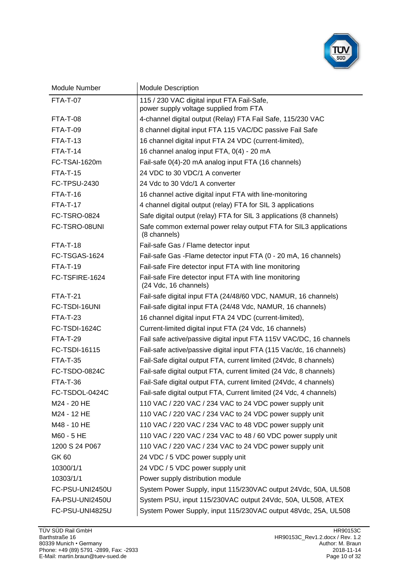

| Module Number        | <b>Module Description</b>                                                            |
|----------------------|--------------------------------------------------------------------------------------|
| <b>FTA-T-07</b>      | 115 / 230 VAC digital input FTA Fail-Safe,<br>power supply voltage supplied from FTA |
| <b>FTA-T-08</b>      | 4-channel digital output (Relay) FTA Fail Safe, 115/230 VAC                          |
| <b>FTA-T-09</b>      | 8 channel digital input FTA 115 VAC/DC passive Fail Safe                             |
| <b>FTA-T-13</b>      | 16 channel digital input FTA 24 VDC (current-limited),                               |
| <b>FTA-T-14</b>      | 16 channel analog input FTA, 0(4) - 20 mA                                            |
| FC-TSAI-1620m        | Fail-safe 0(4)-20 mA analog input FTA (16 channels)                                  |
| $FTA-T-15$           | 24 VDC to 30 VDC/1 A converter                                                       |
| FC-TPSU-2430         | 24 Vdc to 30 Vdc/1 A converter                                                       |
| <b>FTA-T-16</b>      | 16 channel active digital input FTA with line-monitoring                             |
| $FTA-T-17$           | 4 channel digital output (relay) FTA for SIL 3 applications                          |
| <b>FC-TSRO-0824</b>  | Safe digital output (relay) FTA for SIL 3 applications (8 channels)                  |
| FC-TSRO-08UNI        | Safe common external power relay output FTA for SIL3 applications<br>(8 channels)    |
| <b>FTA-T-18</b>      | Fail-safe Gas / Flame detector input                                                 |
| FC-TSGAS-1624        | Fail-safe Gas - Flame detector input FTA (0 - 20 mA, 16 channels)                    |
| <b>FTA-T-19</b>      | Fail-safe Fire detector input FTA with line monitoring                               |
| FC-TSFIRE-1624       | Fail-safe Fire detector input FTA with line monitoring<br>(24 Vdc, 16 channels)      |
| <b>FTA-T-21</b>      | Fail-safe digital input FTA (24/48/60 VDC, NAMUR, 16 channels)                       |
| FC-TSDI-16UNI        | Fail-safe digital input FTA (24/48 Vdc, NAMUR, 16 channels)                          |
| <b>FTA-T-23</b>      | 16 channel digital input FTA 24 VDC (current-limited),                               |
| <b>FC-TSDI-1624C</b> | Current-limited digital input FTA (24 Vdc, 16 channels)                              |
| <b>FTA-T-29</b>      | Fail safe active/passive digital input FTA 115V VAC/DC, 16 channels                  |
| FC-TSDI-16115        | Fail-safe active/passive digital input FTA (115 Vac/dc, 16 channels)                 |
| <b>FTA-T-35</b>      | Fail-Safe digital output FTA, current limited (24Vdc, 8 channels)                    |
| FC-TSDO-0824C        | Fail-safe digital output FTA, current limited (24 Vdc, 8 channels)                   |
| <b>FTA-T-36</b>      | Fail-Safe digital output FTA, current limited (24Vdc, 4 channels)                    |
| FC-TSDOL-0424C       | Fail-safe digital output FTA, Current limited (24 Vdc, 4 channels)                   |
| M24 - 20 HE          | 110 VAC / 220 VAC / 234 VAC to 24 VDC power supply unit                              |
| M24 - 12 HE          | 110 VAC / 220 VAC / 234 VAC to 24 VDC power supply unit                              |
| M48 - 10 HE          | 110 VAC / 220 VAC / 234 VAC to 48 VDC power supply unit                              |
| M60 - 5 HE           | 110 VAC / 220 VAC / 234 VAC to 48 / 60 VDC power supply unit                         |
| 1200 S 24 P067       | 110 VAC / 220 VAC / 234 VAC to 24 VDC power supply unit                              |
| <b>GK60</b>          | 24 VDC / 5 VDC power supply unit                                                     |
| 10300/1/1            | 24 VDC / 5 VDC power supply unit                                                     |
| 10303/1/1            | Power supply distribution module                                                     |
| FC-PSU-UNI2450U      | System Power Supply, input 115/230VAC output 24Vdc, 50A, UL508                       |
| FA-PSU-UNI2450U      | System PSU, input 115/230VAC output 24Vdc, 50A, UL508, ATEX                          |
| FC-PSU-UNI4825U      | System Power Supply, input 115/230VAC output 48Vdc, 25A, UL508                       |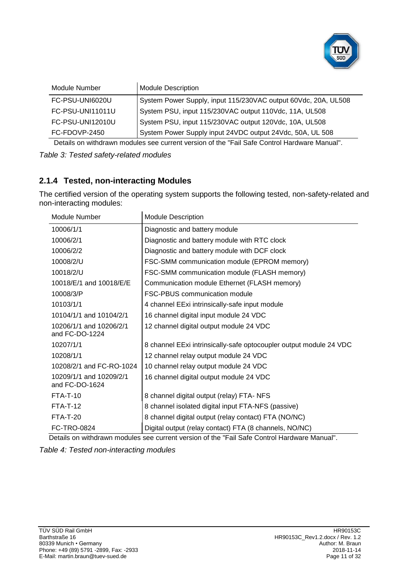

| Module Number    | <b>Module Description</b>                                      |
|------------------|----------------------------------------------------------------|
| FC-PSU-UNI6020U  | System Power Supply, input 115/230VAC output 60Vdc, 20A, UL508 |
| FC-PSU-UNI11011U | System PSU, input 115/230VAC output 110Vdc, 11A, UL508         |
| FC-PSU-UNI12010U | System PSU, input 115/230VAC output 120Vdc, 10A, UL508         |
| FC-FDOVP-2450    | System Power Supply input 24VDC output 24Vdc, 50A, UL 508      |

Details on withdrawn modules see current version of the "Fail Safe Control Hardware Manual".

*Table 3: Tested safety-related modules*

# <span id="page-10-0"></span>**2.1.4 Tested, non-interacting Modules**

The certified version of the operating system supports the following tested, non-safety-related and non-interacting modules:

| Module Number                             | <b>Module Description</b>                                          |
|-------------------------------------------|--------------------------------------------------------------------|
| 10006/1/1                                 | Diagnostic and battery module                                      |
| 10006/2/1                                 | Diagnostic and battery module with RTC clock                       |
| 10006/2/2                                 | Diagnostic and battery module with DCF clock                       |
| 10008/2/U                                 | FSC-SMM communication module (EPROM memory)                        |
| 10018/2/U                                 | FSC-SMM communication module (FLASH memory)                        |
| 10018/E/1 and 10018/E/E                   | Communication module Ethernet (FLASH memory)                       |
| 10008/3/P                                 | <b>FSC-PBUS communication module</b>                               |
| 10103/1/1                                 | 4 channel EExi intrinsically-safe input module                     |
| 10104/1/1 and 10104/2/1                   | 16 channel digital input module 24 VDC                             |
| 10206/1/1 and 10206/2/1<br>and FC-DO-1224 | 12 channel digital output module 24 VDC                            |
| 10207/1/1                                 | 8 channel EExi intrinsically-safe optocoupler output module 24 VDC |
| 10208/1/1                                 | 12 channel relay output module 24 VDC                              |
| 10208/2/1 and FC-RO-1024                  | 10 channel relay output module 24 VDC                              |
| 10209/1/1 and 10209/2/1<br>and FC-DO-1624 | 16 channel digital output module 24 VDC                            |
| <b>FTA-T-10</b>                           | 8 channel digital output (relay) FTA- NFS                          |
| <b>FTA-T-12</b>                           | 8 channel isolated digital input FTA-NFS (passive)                 |
| $FTA-T-20$                                | 8 channel digital output (relay contact) FTA (NO/NC)               |
| FC-TRO-0824                               | Digital output (relay contact) FTA (8 channels, NO/NC)             |

Details on withdrawn modules see current version of the "Fail Safe Control Hardware Manual".

*Table 4: Tested non-interacting modules*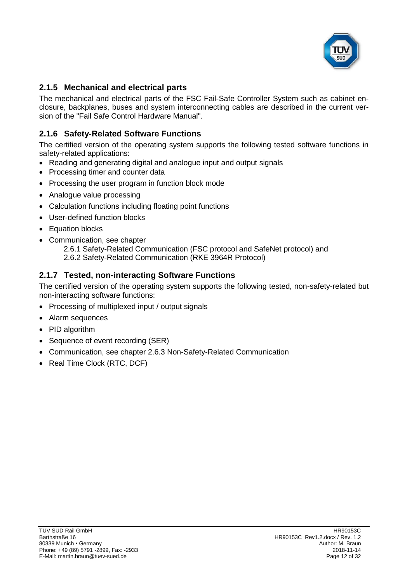

# **2.1.5 Mechanical and electrical parts**

The mechanical and electrical parts of the FSC Fail-Safe Controller System such as cabinet enclosure, backplanes, buses and system interconnecting cables are described in the current version of the "Fail Safe Control Hardware Manual".

# **2.1.6 Safety-Related Software Functions**

The certified version of the operating system supports the following tested software functions in safety-related applications:

- Reading and generating digital and analogue input and output signals
- Processing timer and counter data
- Processing the user program in function block mode
- Analogue value processing
- Calculation functions including floating point functions
- User-defined function blocks
- Equation blocks
- Communication, see chapter
	- [2.6.1](#page-19-0) [Safety-Related Communication \(FSC protocol](#page-19-0) and SafeNet protocol) and
	- [2.6.2](#page-19-1) [Safety-Related Communication \(RKE 3964R Protocol\)](#page-19-1)

# **2.1.7 Tested, non-interacting Software Functions**

The certified version of the operating system supports the following tested, non-safety-related but non-interacting software functions:

- Processing of multiplexed input / output signals
- Alarm sequences
- PID algorithm
- Sequence of event recording (SER)
- Communication, see chapter [2.6.3](#page-20-0) [Non-Safety-Related Communication](#page-20-0)
- Real Time Clock (RTC, DCF)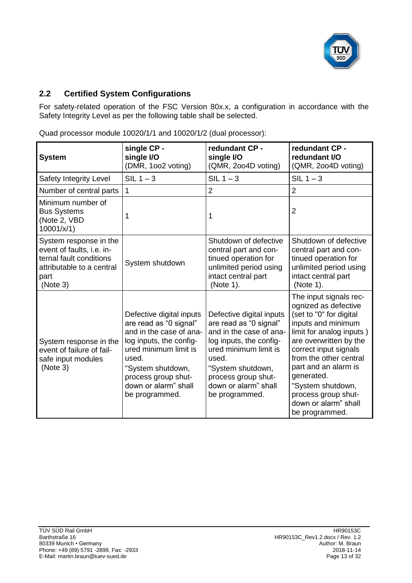

# **2.2 Certified System Configurations**

For safety-related operation of the [FSC Version](#page-0-5) 80x.x, a configuration in accordance with the Safety Integrity Level as per the following table shall be selected.

| <b>System</b>                                                                                                                   | single CP -<br>single I/O<br>(DMR, 1002 voting)                                                                                                                                                                                  | redundant CP -<br>single I/O<br>(QMR, 2004D voting)                                                                                                                                                                              | redundant CP -<br>redundant I/O<br>(QMR, 2004D voting)                                                                                                                                                                                                                                                                               |
|---------------------------------------------------------------------------------------------------------------------------------|----------------------------------------------------------------------------------------------------------------------------------------------------------------------------------------------------------------------------------|----------------------------------------------------------------------------------------------------------------------------------------------------------------------------------------------------------------------------------|--------------------------------------------------------------------------------------------------------------------------------------------------------------------------------------------------------------------------------------------------------------------------------------------------------------------------------------|
| Safety Integrity Level                                                                                                          | $SIL 1 - 3$                                                                                                                                                                                                                      | $SIL 1 - 3$                                                                                                                                                                                                                      | $SIL 1 - 3$                                                                                                                                                                                                                                                                                                                          |
| Number of central parts                                                                                                         | $\mathbf{1}$                                                                                                                                                                                                                     | $\overline{2}$                                                                                                                                                                                                                   | $\overline{2}$                                                                                                                                                                                                                                                                                                                       |
| Minimum number of<br><b>Bus Systems</b><br>(Note 2, VBD<br>10001/x/1)                                                           | 1                                                                                                                                                                                                                                | 1                                                                                                                                                                                                                                | $\overline{2}$                                                                                                                                                                                                                                                                                                                       |
| System response in the<br>event of faults, i.e. in-<br>ternal fault conditions<br>attributable to a central<br>part<br>(Note 3) | System shutdown                                                                                                                                                                                                                  | Shutdown of defective<br>central part and con-<br>tinued operation for<br>unlimited period using<br>intact central part<br>(Note 1).                                                                                             | Shutdown of defective<br>central part and con-<br>tinued operation for<br>unlimited period using<br>intact central part<br>(Note 1).                                                                                                                                                                                                 |
| System response in the<br>event of failure of fail-<br>safe input modules<br>(Note 3)                                           | Defective digital inputs<br>are read as "0 signal"<br>and in the case of ana-<br>log inputs, the config-<br>ured minimum limit is<br>used.<br>"System shutdown,<br>process group shut-<br>down or alarm" shall<br>be programmed. | Defective digital inputs<br>are read as "0 signal"<br>and in the case of ana-<br>log inputs, the config-<br>ured minimum limit is<br>used.<br>"System shutdown,<br>process group shut-<br>down or alarm" shall<br>be programmed. | The input signals rec-<br>ognized as defective<br>(set to "0" for digital<br>inputs and minimum<br>limit for analog inputs)<br>are overwritten by the<br>correct input signals<br>from the other central<br>part and an alarm is<br>generated.<br>"System shutdown,<br>process group shut-<br>down or alarm" shall<br>be programmed. |

Quad processor module 10020/1/1 and 10020/1/2 (dual processor):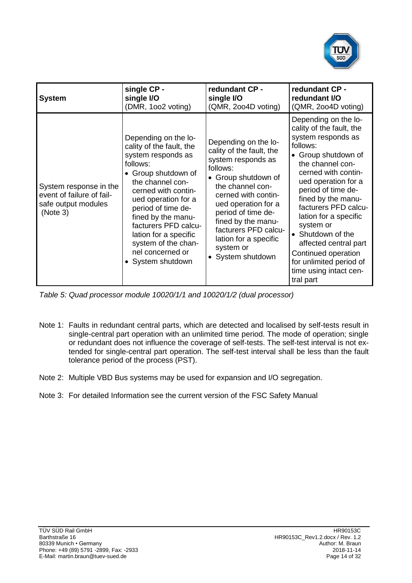

| <b>System</b>                                                                          | single CP -                                                                                                                                                                                                                                                                                                                              | redundant CP -                                                                                                                                                                                                                                                                                             | redundant CP -                                                                                                                                                                                                                                                                                                                                                                                                               |
|----------------------------------------------------------------------------------------|------------------------------------------------------------------------------------------------------------------------------------------------------------------------------------------------------------------------------------------------------------------------------------------------------------------------------------------|------------------------------------------------------------------------------------------------------------------------------------------------------------------------------------------------------------------------------------------------------------------------------------------------------------|------------------------------------------------------------------------------------------------------------------------------------------------------------------------------------------------------------------------------------------------------------------------------------------------------------------------------------------------------------------------------------------------------------------------------|
|                                                                                        | single I/O                                                                                                                                                                                                                                                                                                                               | single I/O                                                                                                                                                                                                                                                                                                 | redundant I/O                                                                                                                                                                                                                                                                                                                                                                                                                |
|                                                                                        | (DMR, 1002 voting)                                                                                                                                                                                                                                                                                                                       | (QMR, 2004D voting)                                                                                                                                                                                                                                                                                        | (QMR, 2004D voting)                                                                                                                                                                                                                                                                                                                                                                                                          |
| System response in the<br>event of failure of fail-<br>safe output modules<br>(Note 3) | Depending on the lo-<br>cality of the fault, the<br>system responds as<br>follows:<br>• Group shutdown of<br>the channel con-<br>cerned with contin-<br>ued operation for a<br>period of time de-<br>fined by the manu-<br>facturers PFD calcu-<br>lation for a specific<br>system of the chan-<br>nel concerned or<br>• System shutdown | Depending on the lo-<br>cality of the fault, the<br>system responds as<br>follows:<br>• Group shutdown of<br>the channel con-<br>cerned with contin-<br>ued operation for a<br>period of time de-<br>fined by the manu-<br>facturers PFD calcu-<br>lation for a specific<br>system or<br>• System shutdown | Depending on the lo-<br>cality of the fault, the<br>system responds as<br>follows:<br>• Group shutdown of<br>the channel con-<br>cerned with contin-<br>ued operation for a<br>period of time de-<br>fined by the manu-<br>facturers PFD calcu-<br>lation for a specific<br>system or<br>• Shutdown of the<br>affected central part<br>Continued operation<br>for unlimited period of<br>time using intact cen-<br>tral part |

*Table 5: Quad processor module 10020/1/1 and 10020/1/2 (dual processor)*

- Note 1: Faults in redundant central parts, which are detected and localised by self-tests result in single-central part operation with an unlimited time period. The mode of operation; single or redundant does not influence the coverage of self-tests. The self-test interval is not extended for single-central part operation. The self-test interval shall be less than the fault tolerance period of the process (PST).
- Note 2: Multiple VBD Bus systems may be used for expansion and I/O segregation.
- Note 3: For detailed Information see the current version of the FSC Safety Manual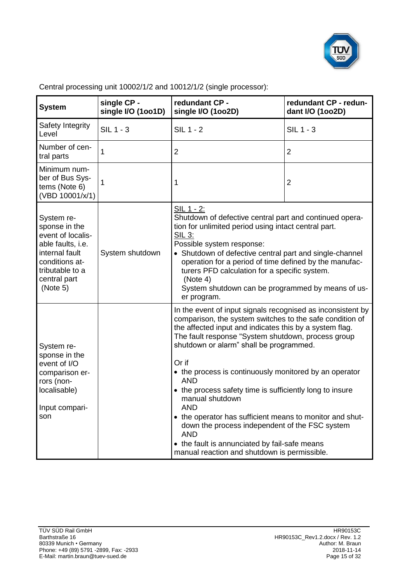

| <b>System</b>                                                                                                                                            | single CP -<br>single I/O (1001D) | redundant CP -<br>single I/O (1002D)                                                                                                                                                                                                                                                                                                                                                                                                                                                                                                                                                                                                                                                           | redundant CP - redun-<br>dant I/O (1002D) |
|----------------------------------------------------------------------------------------------------------------------------------------------------------|-----------------------------------|------------------------------------------------------------------------------------------------------------------------------------------------------------------------------------------------------------------------------------------------------------------------------------------------------------------------------------------------------------------------------------------------------------------------------------------------------------------------------------------------------------------------------------------------------------------------------------------------------------------------------------------------------------------------------------------------|-------------------------------------------|
| Safety Integrity<br>Level                                                                                                                                | $SIL$ 1 - 3                       | $SIL$ 1 - 2<br><b>SIL 1 - 3</b>                                                                                                                                                                                                                                                                                                                                                                                                                                                                                                                                                                                                                                                                |                                           |
| Number of cen-<br>tral parts                                                                                                                             | 1                                 | $\overline{2}$                                                                                                                                                                                                                                                                                                                                                                                                                                                                                                                                                                                                                                                                                 | $\overline{2}$                            |
| Minimum num-<br>ber of Bus Sys-<br>tems (Note 6)<br>(VBD 10001/x/1)                                                                                      | 1                                 | 1                                                                                                                                                                                                                                                                                                                                                                                                                                                                                                                                                                                                                                                                                              | $\overline{2}$                            |
| System re-<br>sponse in the<br>event of localis-<br>able faults, i.e.<br>internal fault<br>conditions at-<br>tributable to a<br>central part<br>(Note 5) | System shutdown                   | SIL 1 - 2:<br>Shutdown of defective central part and continued opera-<br>tion for unlimited period using intact central part.<br><b>SIL 3:</b><br>Possible system response:<br>• Shutdown of defective central part and single-channel<br>operation for a period of time defined by the manufac-<br>turers PFD calculation for a specific system.<br>(Note 4)<br>System shutdown can be programmed by means of us-<br>er program.                                                                                                                                                                                                                                                              |                                           |
| System re-<br>sponse in the<br>event of I/O<br>comparison er-<br>rors (non-<br>localisable)<br>Input compari-<br>son                                     |                                   | In the event of input signals recognised as inconsistent by<br>comparison, the system switches to the safe condition of<br>the affected input and indicates this by a system flag.<br>The fault response "System shutdown, process group<br>shutdown or alarm" shall be programmed.<br>Or if<br>• the process is continuously monitored by an operator<br><b>AND</b><br>• the process safety time is sufficiently long to insure<br>manual shutdown<br><b>AND</b><br>• the operator has sufficient means to monitor and shut-<br>down the process independent of the FSC system<br><b>AND</b><br>• the fault is annunciated by fail-safe means<br>manual reaction and shutdown is permissible. |                                           |

Central processing unit 10002/1/2 and 10012/1/2 (single processor):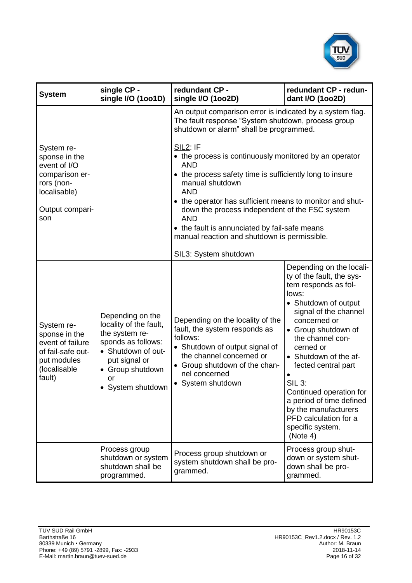

| <b>System</b>                                                                                                 | single CP -<br>single I/O (1001D)                                                                                                                                      | redundant CP -<br>single I/O (1002D)                                                                                                                                                                                                                                                                                                                                                                                                                                                                                                                                            | redundant CP - redun-<br>dant I/O (1002D)                                                                                                                                                                                                                                                                                                                                                                                |
|---------------------------------------------------------------------------------------------------------------|------------------------------------------------------------------------------------------------------------------------------------------------------------------------|---------------------------------------------------------------------------------------------------------------------------------------------------------------------------------------------------------------------------------------------------------------------------------------------------------------------------------------------------------------------------------------------------------------------------------------------------------------------------------------------------------------------------------------------------------------------------------|--------------------------------------------------------------------------------------------------------------------------------------------------------------------------------------------------------------------------------------------------------------------------------------------------------------------------------------------------------------------------------------------------------------------------|
| System re-<br>sponse in the<br>event of I/O<br>comparison er-                                                 |                                                                                                                                                                        | An output comparison error is indicated by a system flag.<br>The fault response "System shutdown, process group<br>shutdown or alarm" shall be programmed.<br><b>SIL2: IF</b><br>• the process is continuously monitored by an operator<br><b>AND</b><br>• the process safety time is sufficiently long to insure<br>manual shutdown<br><b>AND</b><br>• the operator has sufficient means to monitor and shut-<br>down the process independent of the FSC system<br><b>AND</b><br>• the fault is annunciated by fail-safe means<br>manual reaction and shutdown is permissible. |                                                                                                                                                                                                                                                                                                                                                                                                                          |
| rors (non-<br>localisable)<br>Output compari-<br>son                                                          |                                                                                                                                                                        |                                                                                                                                                                                                                                                                                                                                                                                                                                                                                                                                                                                 |                                                                                                                                                                                                                                                                                                                                                                                                                          |
|                                                                                                               |                                                                                                                                                                        | SIL3: System shutdown                                                                                                                                                                                                                                                                                                                                                                                                                                                                                                                                                           |                                                                                                                                                                                                                                                                                                                                                                                                                          |
| System re-<br>sponse in the<br>event of failure<br>of fail-safe out-<br>put modules<br>(localisable<br>fault) | Depending on the<br>locality of the fault,<br>the system re-<br>sponds as follows:<br>• Shutdown of out-<br>put signal or<br>Group shutdown<br>or<br>• System shutdown | Depending on the locality of the<br>fault, the system responds as<br>follows:<br>• Shutdown of output signal of<br>the channel concerned or<br>• Group shutdown of the chan-<br>nel concerned<br>• System shutdown                                                                                                                                                                                                                                                                                                                                                              | Depending on the locali-<br>ty of the fault, the sys-<br>tem responds as fol-<br>lows:<br>• Shutdown of output<br>signal of the channel<br>concerned or<br>• Group shutdown of<br>the channel con-<br>cerned or<br>• Shutdown of the af-<br>fected central part<br><u>SIL 3:</u><br>Continued operation for<br>a period of time defined<br>by the manufacturers<br>PFD calculation for a<br>specific system.<br>(Note 4) |
|                                                                                                               | Process group<br>shutdown or system<br>shutdown shall be<br>programmed.                                                                                                | Process group shutdown or<br>system shutdown shall be pro-<br>grammed.                                                                                                                                                                                                                                                                                                                                                                                                                                                                                                          | Process group shut-<br>down or system shut-<br>down shall be pro-<br>grammed.                                                                                                                                                                                                                                                                                                                                            |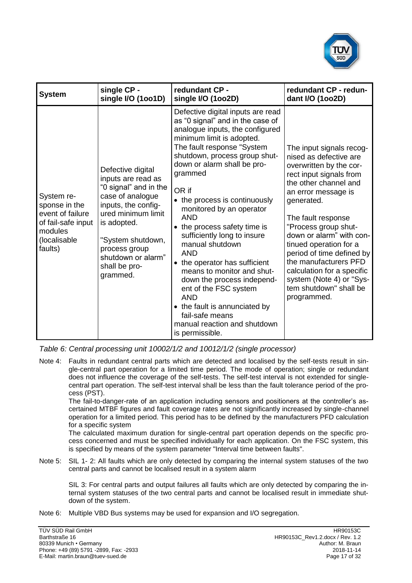

| <b>System</b>                                                                                               | single CP -                                                                                                                                                                                                                               | redundant CP -                                                                                                                                                                                                                                                                                                                                                                                                                                                                                                                                                                                                                                                                | redundant CP - redun-                                                                                                                                                                                                                                                                                                                                                                                                               |
|-------------------------------------------------------------------------------------------------------------|-------------------------------------------------------------------------------------------------------------------------------------------------------------------------------------------------------------------------------------------|-------------------------------------------------------------------------------------------------------------------------------------------------------------------------------------------------------------------------------------------------------------------------------------------------------------------------------------------------------------------------------------------------------------------------------------------------------------------------------------------------------------------------------------------------------------------------------------------------------------------------------------------------------------------------------|-------------------------------------------------------------------------------------------------------------------------------------------------------------------------------------------------------------------------------------------------------------------------------------------------------------------------------------------------------------------------------------------------------------------------------------|
|                                                                                                             | single I/O (1001D)                                                                                                                                                                                                                        | single I/O (1002D)                                                                                                                                                                                                                                                                                                                                                                                                                                                                                                                                                                                                                                                            | dant I/O (1002D)                                                                                                                                                                                                                                                                                                                                                                                                                    |
| System re-<br>sponse in the<br>event of failure<br>of fail-safe input<br>modules<br>(localisable<br>faults) | Defective digital<br>inputs are read as<br>"0 signal" and in the<br>case of analogue<br>inputs, the config-<br>ured minimum limit<br>is adopted.<br>"System shutdown,<br>process group<br>shutdown or alarm"<br>shall be pro-<br>grammed. | Defective digital inputs are read<br>as "0 signal" and in the case of<br>analogue inputs, the configured<br>minimum limit is adopted.<br>The fault response "System<br>shutdown, process group shut-<br>down or alarm shall be pro-<br>grammed<br>OR if<br>• the process is continuously<br>monitored by an operator<br><b>AND</b><br>• the process safety time is<br>sufficiently long to insure<br>manual shutdown<br><b>AND</b><br>• the operator has sufficient<br>means to monitor and shut-<br>down the process independ-<br>ent of the FSC system<br><b>AND</b><br>• the fault is annunciated by<br>fail-safe means<br>manual reaction and shutdown<br>is permissible. | The input signals recog-<br>nised as defective are<br>overwritten by the cor-<br>rect input signals from<br>the other channel and<br>an error message is<br>generated.<br>The fault response<br>"Process group shut-<br>down or alarm" with con-<br>tinued operation for a<br>period of time defined by<br>the manufacturers PFD<br>calculation for a specific<br>system (Note 4) or "Sys-<br>tem shutdown" shall be<br>programmed. |

*Table 6: Central processing unit 10002/1/2 and 10012/1/2 (single processor)*

Note 4: Faults in redundant central parts which are detected and localised by the self-tests result in single-central part operation for a limited time period. The mode of operation; single or redundant does not influence the coverage of the self-tests. The self-test interval is not extended for singlecentral part operation. The self-test interval shall be less than the fault tolerance period of the process (PST).

The fail-to-danger-rate of an application including sensors and positioners at the controller's ascertained MTBF figures and fault coverage rates are not significantly increased by single-channel operation for a limited period. This period has to be defined by the manufacturers PFD calculation for a specific system

The calculated maximum duration for single-central part operation depends on the specific process concerned and must be specified individually for each application. On the FSC system, this is specified by means of the system parameter "Interval time between faults".

Note 5: SIL 1- 2: All faults which are only detected by comparing the internal system statuses of the two central parts and cannot be localised result in a system alarm

SIL 3: For central parts and output failures all faults which are only detected by comparing the internal system statuses of the two central parts and cannot be localised result in immediate shutdown of the system.

Note 6: Multiple VBD Bus systems may be used for expansion and I/O segregation.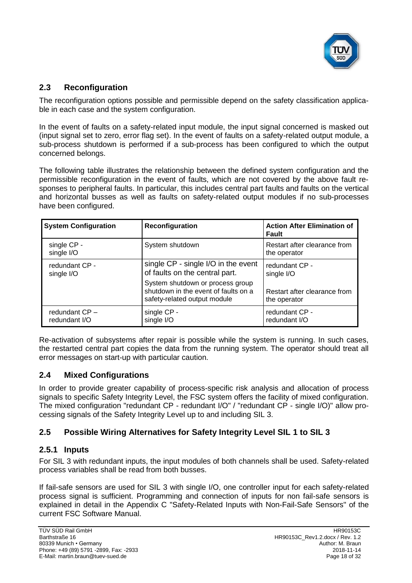

## **2.3 Reconfiguration**

The reconfiguration options possible and permissible depend on the safety classification applicable in each case and the system configuration.

In the event of faults on a safety-related input module, the input signal concerned is masked out (input signal set to zero, error flag set). In the event of faults on a safety-related output module, a sub-process shutdown is performed if a sub-process has been configured to which the output concerned belongs.

The following table illustrates the relationship between the defined system configuration and the permissible reconfiguration in the event of faults, which are not covered by the above fault responses to peripheral faults. In particular, this includes central part faults and faults on the vertical and horizontal busses as well as faults on safety-related output modules if no sub-processes have been configured.

| <b>System Configuration</b>       | Reconfiguration                                                                                                                                                                   | <b>Action After Elimination of</b><br>Fault                                  |
|-----------------------------------|-----------------------------------------------------------------------------------------------------------------------------------------------------------------------------------|------------------------------------------------------------------------------|
| single CP -<br>single I/O         | System shutdown                                                                                                                                                                   | Restart after clearance from<br>the operator                                 |
| redundant CP -<br>single I/O      | single CP - single I/O in the event<br>of faults on the central part.<br>System shutdown or process group<br>shutdown in the event of faults on a<br>safety-related output module | redundant CP -<br>single I/O<br>Restart after clearance from<br>the operator |
| redundant $CP -$<br>redundant I/O | single CP -<br>single I/O                                                                                                                                                         | redundant CP -<br>redundant I/O                                              |

Re-activation of subsystems after repair is possible while the system is running. In such cases, the restarted central part copies the data from the running system. The operator should treat all error messages on start-up with particular caution.

# **2.4 Mixed Configurations**

In order to provide greater capability of process-specific risk analysis and allocation of process signals to specific Safety Integrity Level, the FSC system offers the facility of mixed configuration. The mixed configuration "redundant CP - redundant I/O" / "redundant CP - single I/O)" allow processing signals of the Safety Integrity Level up to and including SIL 3.

# **2.5 Possible Wiring Alternatives for Safety Integrity Level SIL 1 to SIL 3**

#### **2.5.1 Inputs**

For SIL 3 with redundant inputs, the input modules of both channels shall be used. Safety-related process variables shall be read from both busses.

If fail-safe sensors are used for SIL 3 with single I/O, one controller input for each safety-related process signal is sufficient. Programming and connection of inputs for non fail-safe sensors is explained in detail in the Appendix C "Safety-Related Inputs with Non-Fail-Safe Sensors" of the current FSC Software Manual.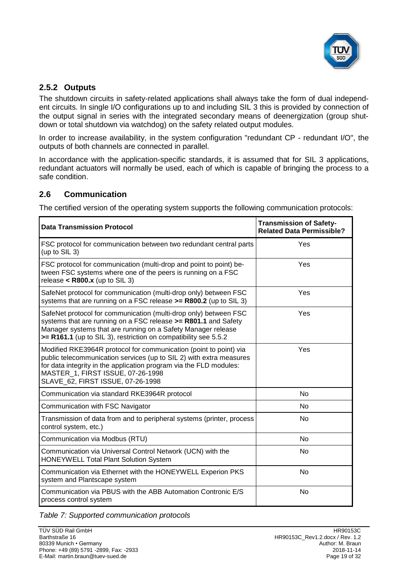

# **2.5.2 Outputs**

The shutdown circuits in safety-related applications shall always take the form of dual independent circuits. In single I/O configurations up to and including SIL 3 this is provided by connection of the output signal in series with the integrated secondary means of deenergization (group shutdown or total shutdown via watchdog) on the safety related output modules.

In order to increase availability, in the system configuration "redundant CP - redundant I/O", the outputs of both channels are connected in parallel.

In accordance with the application-specific standards, it is assumed that for SIL 3 applications, redundant actuators will normally be used, each of which is capable of bringing the process to a safe condition.

# **2.6 Communication**

The certified version of the operating system supports the following communication protocols:

| <b>Data Transmission Protocol</b>                                                                                                                                                                                                                                                        | <b>Transmission of Safety-</b><br><b>Related Data Permissible?</b> |
|------------------------------------------------------------------------------------------------------------------------------------------------------------------------------------------------------------------------------------------------------------------------------------------|--------------------------------------------------------------------|
| FSC protocol for communication between two redundant central parts<br>(up to SIL 3)                                                                                                                                                                                                      | Yes                                                                |
| FSC protocol for communication (multi-drop and point to point) be-<br>tween FSC systems where one of the peers is running on a FSC<br>release $<$ R800.x (up to SIL 3)                                                                                                                   | Yes                                                                |
| SafeNet protocol for communication (multi-drop only) between FSC<br>systems that are running on a FSC release >= R800.2 (up to SIL 3)                                                                                                                                                    | Yes                                                                |
| SafeNet protocol for communication (multi-drop only) between FSC<br>systems that are running on a FSC release >= R801.1 and Safety<br>Manager systems that are running on a Safety Manager release<br>>= R161.1 (up to SIL 3), restriction on compatibility see 5.5.2                    | Yes                                                                |
| Modified RKE3964R protocol for communication (point to point) via<br>public telecommunication services (up to SIL 2) with extra measures<br>for data integrity in the application program via the FLD modules:<br>MASTER 1, FIRST ISSUE, 07-26-1998<br>SLAVE 62, FIRST ISSUE, 07-26-1998 | Yes                                                                |
| Communication via standard RKE3964R protocol                                                                                                                                                                                                                                             | <b>No</b>                                                          |
| Communication with FSC Navigator                                                                                                                                                                                                                                                         | N <sub>o</sub>                                                     |
| Transmission of data from and to peripheral systems (printer, process<br>control system, etc.)                                                                                                                                                                                           | N <sub>0</sub>                                                     |
| Communication via Modbus (RTU)                                                                                                                                                                                                                                                           | N <sub>o</sub>                                                     |
| Communication via Universal Control Network (UCN) with the<br><b>HONEYWELL Total Plant Solution System</b>                                                                                                                                                                               | No                                                                 |
| Communication via Ethernet with the HONEYWELL Experion PKS<br>system and Plantscape system                                                                                                                                                                                               | <b>No</b>                                                          |
| Communication via PBUS with the ABB Automation Contronic E/S<br>process control system                                                                                                                                                                                                   | <b>No</b>                                                          |

*Table 7: Supported communication protocols*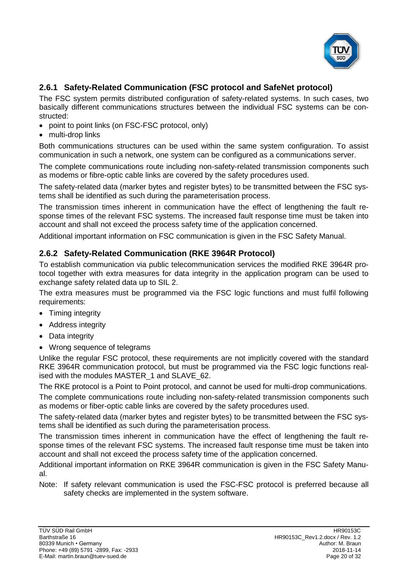

# <span id="page-19-0"></span>**2.6.1 Safety-Related Communication (FSC protocol and SafeNet protocol)**

The FSC system permits distributed configuration of safety-related systems. In such cases, two basically different communications structures between the individual FSC systems can be constructed:

- point to point links (on FSC-FSC protocol, only)
- multi-drop links

Both communications structures can be used within the same system configuration. To assist communication in such a network, one system can be configured as a communications server.

The complete communications route including non-safety-related transmission components such as modems or fibre-optic cable links are covered by the safety procedures used.

The safety-related data (marker bytes and register bytes) to be transmitted between the FSC systems shall be identified as such during the parameterisation process.

The transmission times inherent in communication have the effect of lengthening the fault response times of the relevant FSC systems. The increased fault response time must be taken into account and shall not exceed the process safety time of the application concerned.

Additional important information on FSC communication is given in the FSC Safety Manual.

#### <span id="page-19-1"></span>**2.6.2 Safety-Related Communication (RKE 3964R Protocol)**

To establish communication via public telecommunication services the modified RKE 3964R protocol together with extra measures for data integrity in the application program can be used to exchange safety related data up to SIL 2.

The extra measures must be programmed via the FSC logic functions and must fulfil following requirements:

- Timing integrity
- Address integrity
- Data integrity
- Wrong sequence of telegrams

Unlike the regular FSC protocol, these requirements are not implicitly covered with the standard RKE 3964R communication protocol, but must be programmed via the FSC logic functions realised with the modules MASTER\_1 and SLAVE\_62.

The RKE protocol is a Point to Point protocol, and cannot be used for multi-drop communications.

The complete communications route including non-safety-related transmission components such as modems or fiber-optic cable links are covered by the safety procedures used.

The safety-related data (marker bytes and register bytes) to be transmitted between the FSC systems shall be identified as such during the parameterisation process.

The transmission times inherent in communication have the effect of lengthening the fault response times of the relevant FSC systems. The increased fault response time must be taken into account and shall not exceed the process safety time of the application concerned.

Additional important information on RKE 3964R communication is given in the FSC Safety Manual.

Note: If safety relevant communication is used the FSC-FSC protocol is preferred because all safety checks are implemented in the system software.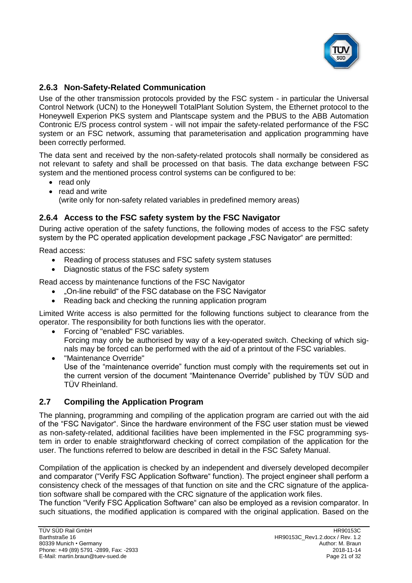

# <span id="page-20-0"></span>**2.6.3 Non-Safety-Related Communication**

Use of the other transmission protocols provided by the FSC system - in particular the Universal Control Network (UCN) to the Honeywell TotalPlant Solution System, the Ethernet protocol to the Honeywell Experion PKS system and Plantscape system and the PBUS to the ABB Automation Contronic E/S process control system - will not impair the safety-related performance of the FSC system or an FSC network, assuming that parameterisation and application programming have been correctly performed.

The data sent and received by the non-safety-related protocols shall normally be considered as not relevant to safety and shall be processed on that basis. The data exchange between FSC system and the mentioned process control systems can be configured to be:

- read only
- read and write (write only for non-safety related variables in predefined memory areas)

# **2.6.4 Access to the FSC safety system by the FSC Navigator**

During active operation of the safety functions, the following modes of access to the FSC safety system by the PC operated application development package "FSC Navigator" are permitted:

Read access:

- Reading of process statuses and FSC safety system statuses
- Diagnostic status of the FSC safety system

Read access by maintenance functions of the FSC Navigator

- "On-line rebuild" of the FSC database on the FSC Navigator
- Reading back and checking the running application program

Limited Write access is also permitted for the following functions subject to clearance from the operator. The responsibility for both functions lies with the operator.

- Forcing of "enabled" FSC variables. Forcing may only be authorised by way of a key-operated switch. Checking of which signals may be forced can be performed with the aid of a printout of the FSC variables.
- "Maintenance Override" Use of the "maintenance override" function must comply with the requirements set out in the current version of the document "Maintenance Override" published by TÜV SÜD and TÜV Rheinland.

# **2.7 Compiling the Application Program**

The planning, programming and compiling of the application program are carried out with the aid of the "FSC Navigator". Since the hardware environment of the FSC user station must be viewed as non-safety-related, additional facilities have been implemented in the FSC programming system in order to enable straightforward checking of correct compilation of the application for the user. The functions referred to below are described in detail in the FSC Safety Manual.

Compilation of the application is checked by an independent and diversely developed decompiler and comparator ("Verify FSC Application Software" function). The project engineer shall perform a consistency check of the messages of that function on site and the CRC signature of the application software shall be compared with the CRC signature of the application work files.

The function "Verify FSC Application Software" can also be employed as a revision comparator. In such situations, the modified application is compared with the original application. Based on the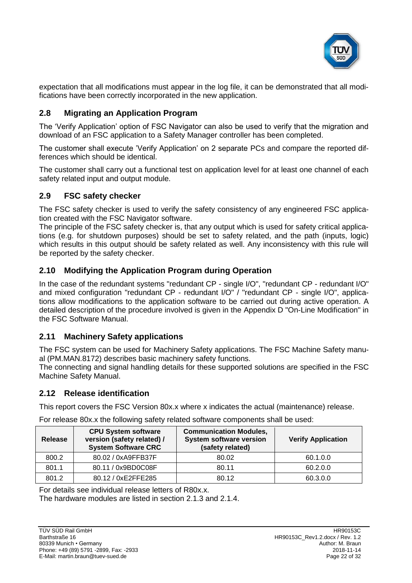

expectation that all modifications must appear in the log file, it can be demonstrated that all modifications have been correctly incorporated in the new application.

# **2.8 Migrating an Application Program**

The 'Verify Application' option of FSC Navigator can also be used to verify that the migration and download of an FSC application to a Safety Manager controller has been completed.

The customer shall execute 'Verify Application' on 2 separate PCs and compare the reported differences which should be identical.

The customer shall carry out a functional test on application level for at least one channel of each safety related input and output module.

## **2.9 FSC safety checker**

The FSC safety checker is used to verify the safety consistency of any engineered FSC application created with the FSC Navigator software.

The principle of the FSC safety checker is, that any output which is used for safety critical applications (e.g. for shutdown purposes) should be set to safety related, and the path (inputs, logic) which results in this output should be safety related as well. Any inconsistency with this rule will be reported by the safety checker.

# **2.10 Modifying the Application Program during Operation**

In the case of the redundant systems "redundant CP - single I/O", "redundant CP - redundant I/O" and mixed configuration "redundant CP - redundant I/O" / "redundant CP - single I/O", applications allow modifications to the application software to be carried out during active operation. A detailed description of the procedure involved is given in the Appendix D "On-Line Modification" in the FSC Software Manual.

# **2.11 Machinery Safety applications**

The FSC system can be used for Machinery Safety applications. The FSC Machine Safety manual (PM.MAN.8172) describes basic machinery safety functions.

The connecting and signal handling details for these supported solutions are specified in the FSC Machine Safety Manual.

# <span id="page-21-0"></span>**2.12 Release identification**

This report covers the [FSC Version 80x.x](#page-0-5) where x indicates the actual (maintenance) release.

| <b>Release</b> | <b>CPU System software</b><br>version (safety related) /<br><b>System Software CRC</b> | <b>Communication Modules,</b><br><b>System software version</b><br>(safety related) | <b>Verify Application</b> |  |
|----------------|----------------------------------------------------------------------------------------|-------------------------------------------------------------------------------------|---------------------------|--|
| 800.2          | 80.02 / 0xA9FFB37F                                                                     | 80.02                                                                               | 60.1.0.0                  |  |
| 801.1          | 80.11 / 0x9BD0C08F                                                                     | 80.11                                                                               | 60.2.0.0                  |  |
| 801.2          | 80.12 / 0xE2FFE285                                                                     | 80.12                                                                               | 60.3.0.0                  |  |

For release 80x.x the following safety related software components shall be used:

For details see individual release letters of R80x.x.

The hardware modules are listed in section [2.1.3](#page-7-0) and [2.1.4.](#page-10-0)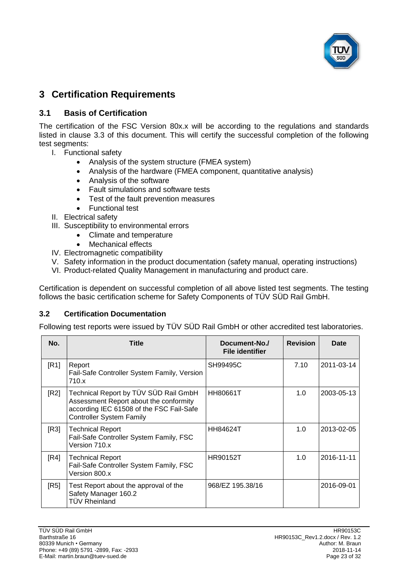

# <span id="page-22-0"></span>**3 Certification Requirements**

## **3.1 Basis of Certification**

The certification of the [FSC Version](#page-0-5) 80x.x will be according to the regulations and standards listed in clause [3.3](#page-23-0) of this document. This will certify the successful completion of the following test segments:

- I. Functional safety
	- Analysis of the system structure (FMEA system)
	- Analysis of the hardware (FMEA component, quantitative analysis)
	- Analysis of the software
	- Fault simulations and software tests
	- Test of the fault prevention measures
	- Functional test
- II. Electrical safety
- III. Susceptibility to environmental errors
	- Climate and temperature
	- **Mechanical effects**
- IV. Electromagnetic compatibility
- V. Safety information in the product documentation (safety manual, operating instructions)
- VI. Product-related Quality Management in manufacturing and product care.

Certification is dependent on successful completion of all above listed test segments. The testing follows the basic certification scheme for Safety Components of TÜV SÜD Rail GmbH.

#### **3.2 Certification Documentation**

Following test reports were issued by TÜV SÜD Rail GmbH or other accredited test laboratories.

<span id="page-22-1"></span>

| No.  | Title                                                                                                                                                          | Document-No./<br><b>File identifier</b> | <b>Revision</b> | Date       |
|------|----------------------------------------------------------------------------------------------------------------------------------------------------------------|-----------------------------------------|-----------------|------------|
| [R1] | Report<br>Fail-Safe Controller System Family, Version<br>710.x                                                                                                 | SH99495C                                | 7.10            | 2011-03-14 |
| [R2] | Technical Report by TÜV SÜD Rail GmbH<br>Assessment Report about the conformity<br>according IEC 61508 of the FSC Fail-Safe<br><b>Controller System Family</b> | <b>HH80661T</b>                         | 1.0             | 2003-05-13 |
| [R3] | <b>Technical Report</b><br>Fail-Safe Controller System Family, FSC<br>Version 710.x                                                                            | <b>HH84624T</b>                         | 1.0             | 2013-02-05 |
| [RA] | <b>Technical Report</b><br>Fail-Safe Controller System Family, FSC<br>Version 800.x                                                                            | <b>HR90152T</b>                         | 1.0             | 2016-11-11 |
| [RS] | Test Report about the approval of the<br>Safety Manager 160.2<br>TÜV Rheinland                                                                                 | 968/EZ 195.38/16                        |                 | 2016-09-01 |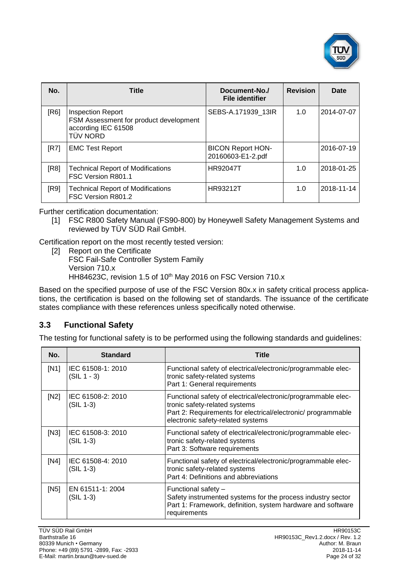

| No.  | <b>Title</b>                                                                                                 | Document-No./<br><b>File identifier</b>       | <b>Revision</b> | Date       |
|------|--------------------------------------------------------------------------------------------------------------|-----------------------------------------------|-----------------|------------|
| [R6] | <b>Inspection Report</b><br>FSM Assessment for product development<br>according IEC 61508<br><b>TÜV NORD</b> | SEBS-A.171939 13IR                            | 1.0             | 2014-07-07 |
| [R7] | <b>EMC Test Report</b>                                                                                       | <b>BICON Report HON-</b><br>20160603-E1-2.pdf |                 | 2016-07-19 |
| [R8] | <b>Technical Report of Modifications</b><br>FSC Version R801.1                                               | <b>HR92047T</b>                               | 1.0             | 2018-01-25 |
| [R9] | <b>Technical Report of Modifications</b><br>FSC Version R801.2                                               | <b>HR93212T</b>                               | 1.0             | 2018-11-14 |

<span id="page-23-1"></span>Further certification documentation:

[1] FSC R800 Safety Manual (FS90-800) by [Honeywell Safety Management Systems](#page-0-3) and reviewed by TÜV SÜD Rail GmbH.

Certification report on the most recently tested version:

[2] Report on the Certificate FSC Fail-Safe Controller System Family Version 710.x HH84623C, revision 1.5 of 10<sup>th</sup> May 2016 on FSC Version 710.x

Based on the specified purpose of use of the [FSC Version 80x.x](#page-0-5) in safety critical process applications, the certification is based on the following set of standards. The issuance of the certificate states compliance with these references unless specifically noted otherwise.

# <span id="page-23-0"></span>**3.3 Functional Safety**

The testing for functional safety is to be performed using the following standards and guidelines:

| No.  | <b>Standard</b>                  | Title                                                                                                                                                                                               |
|------|----------------------------------|-----------------------------------------------------------------------------------------------------------------------------------------------------------------------------------------------------|
| [N1] | IEC 61508-1: 2010<br>(SIL 1 - 3) | Functional safety of electrical/electronic/programmable elec-<br>tronic safety-related systems<br>Part 1: General requirements                                                                      |
| [N2] | IEC 61508-2: 2010<br>$(SIL 1-3)$ | Functional safety of electrical/electronic/programmable elec-<br>tronic safety-related systems<br>Part 2: Requirements for electrical/electronic/ programmable<br>electronic safety-related systems |
| [N3] | IEC 61508-3: 2010<br>(SIL 1-3)   | Functional safety of electrical/electronic/programmable elec-<br>tronic safety-related systems<br>Part 3: Software requirements                                                                     |
| [N4] | IEC 61508-4: 2010<br>(SIL 1-3)   | Functional safety of electrical/electronic/programmable elec-<br>tronic safety-related systems<br>Part 4: Definitions and abbreviations                                                             |
| [N5] | EN 61511-1: 2004<br>(SIL 1-3)    | Functional safety -<br>Safety instrumented systems for the process industry sector<br>Part 1: Framework, definition, system hardware and software<br>requirements                                   |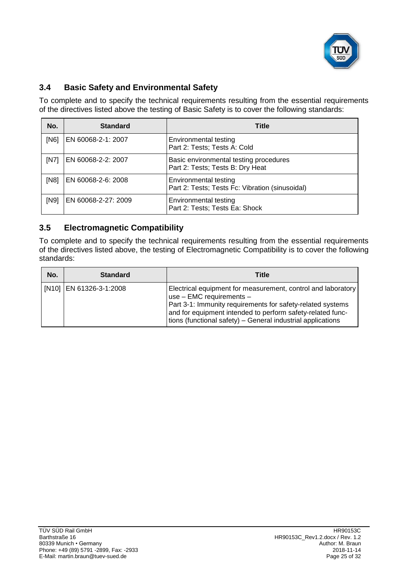

# **3.4 Basic Safety and Environmental Safety**

To complete and to specify the technical requirements resulting from the essential requirements of the directives listed above the testing of Basic Safety is to cover the following standards:

| No.  | <b>Standard</b>     | <b>Title</b>                                                                    |
|------|---------------------|---------------------------------------------------------------------------------|
| [N6] | EN 60068-2-1: 2007  | Environmental testing<br>Part 2: Tests; Tests A: Cold                           |
| [N7] | EN 60068-2-2: 2007  | Basic environmental testing procedures<br>Part 2: Tests; Tests B: Dry Heat      |
| [N8] | EN 60068-2-6: 2008  | <b>Environmental testing</b><br>Part 2: Tests; Tests Fc: Vibration (sinusoidal) |
| [N9] | EN 60068-2-27: 2009 | <b>Environmental testing</b><br>Part 2: Tests; Tests Ea: Shock                  |

# **3.5 Electromagnetic Compatibility**

To complete and to specify the technical requirements resulting from the essential requirements of the directives listed above, the testing of Electromagnetic Compatibility is to cover the following standards:

| No. | <b>Standard</b>         | Title                                                                                                                                                                                                                                                                                   |
|-----|-------------------------|-----------------------------------------------------------------------------------------------------------------------------------------------------------------------------------------------------------------------------------------------------------------------------------------|
|     | [N10] EN 61326-3-1:2008 | Electrical equipment for measurement, control and laboratory<br>use $-$ EMC requirements $-$<br>Part 3-1: Immunity requirements for safety-related systems<br>and for equipment intended to perform safety-related func-<br>tions (functional safety) – General industrial applications |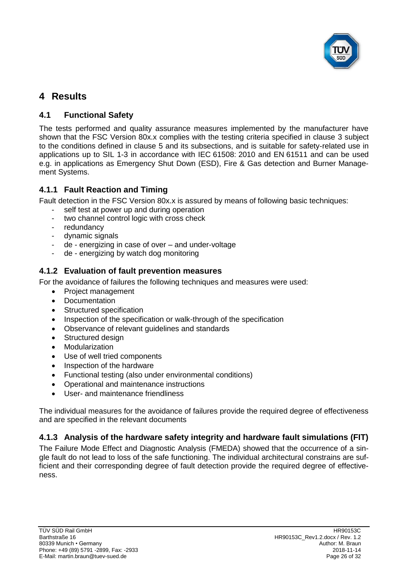

# <span id="page-25-0"></span>**4 Results**

# **4.1 Functional Safety**

The tests performed and quality assurance measures implemented by the manufacturer have shown that the [FSC Version 80x.x](#page-0-5) complies with the testing criteria specified in clause [3](#page-22-0) subject to the conditions defined in clause [5](#page-28-0) and its subsections, and is suitable for safety-related use in applications up to SIL [1-3](#page-3-1) in accordance with IEC 61508: 2010 and EN 61511 and can be used e.g. in applications as Emergency Shut Down (ESD), Fire & Gas detection and Burner Management Systems.

# **4.1.1 Fault Reaction and Timing**

Fault detection in the [FSC Version 80x.x](#page-0-5) is assured by means of following basic techniques:

- self test at power up and during operation
- two channel control logic with cross check
- redundancy
- dynamic signals
- de energizing in case of over and under-voltage
- de energizing by watch dog monitoring

# **4.1.2 Evaluation of fault prevention measures**

For the avoidance of failures the following techniques and measures were used:

- Project management
- Documentation
- Structured specification
- Inspection of the specification or walk-through of the specification
- Observance of relevant guidelines and standards
- Structured design
- Modularization
- Use of well tried components
- Inspection of the hardware
- Functional testing (also under environmental conditions)
- Operational and maintenance instructions
- User- and maintenance friendliness

The individual measures for the avoidance of failures provide the required degree of effectiveness and are specified in the relevant documents

# **4.1.3 Analysis of the hardware safety integrity and hardware fault simulations (FIT)**

The Failure Mode Effect and Diagnostic Analysis (FMEDA) showed that the occurrence of a single fault do not lead to loss of the safe functioning. The individual architectural constrains are sufficient and their corresponding degree of fault detection provide the required degree of effectiveness.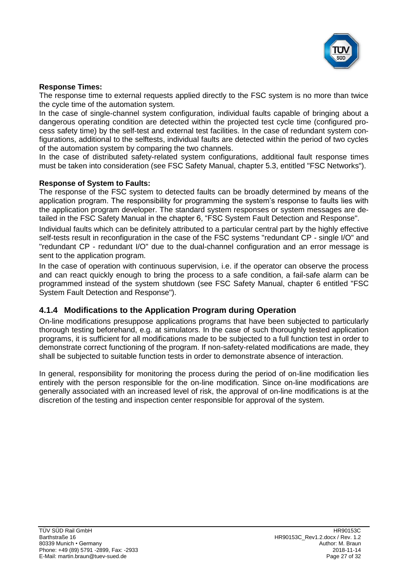

#### **Response Times:**

The response time to external requests applied directly to the FSC system is no more than twice the cycle time of the automation system.

In the case of single-channel system configuration, individual faults capable of bringing about a dangerous operating condition are detected within the projected test cycle time (configured process safety time) by the self-test and external test facilities. In the case of redundant system configurations, additional to the selftests, individual faults are detected within the period of two cycles of the automation system by comparing the two channels.

In the case of distributed safety-related system configurations, additional fault response times must be taken into consideration (see FSC Safety Manual, chapter 5.3, entitled "FSC Networks").

#### **Response of System to Faults:**

The response of the FSC system to detected faults can be broadly determined by means of the application program. The responsibility for programming the system's response to faults lies with the application program developer. The standard system responses or system messages are detailed in the FSC Safety Manual in the chapter 6, "FSC System Fault Detection and Response".

Individual faults which can be definitely attributed to a particular central part by the highly effective self-tests result in reconfiguration in the case of the FSC systems "redundant CP - single I/O" and "redundant CP - redundant I/O" due to the dual-channel configuration and an error message is sent to the application program.

In the case of operation with continuous supervision, i.e. if the operator can observe the process and can react quickly enough to bring the process to a safe condition, a fail-safe alarm can be programmed instead of the system shutdown (see FSC Safety Manual, chapter 6 entitled "FSC System Fault Detection and Response").

#### **4.1.4 Modifications to the Application Program during Operation**

On-line modifications presuppose applications programs that have been subjected to particularly thorough testing beforehand, e.g. at simulators. In the case of such thoroughly tested application programs, it is sufficient for all modifications made to be subjected to a full function test in order to demonstrate correct functioning of the program. If non-safety-related modifications are made, they shall be subjected to suitable function tests in order to demonstrate absence of interaction.

In general, responsibility for monitoring the process during the period of on-line modification lies entirely with the person responsible for the on-line modification. Since on-line modifications are generally associated with an increased level of risk, the approval of on-line modifications is at the discretion of the testing and inspection center responsible for approval of the system.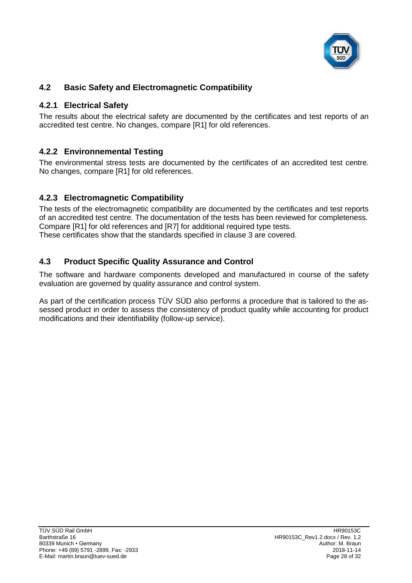

# **4.2 Basic Safety and Electromagnetic Compatibility**

## **4.2.1 Electrical Safety**

The results about the electrical safety are documented by the certificates and test reports of an accredited test centre. No changes, compare [\[R1\]](#page-22-1) for old references.

# **4.2.2 Environnemental Testing**

The environmental stress tests are documented by the certificates of an accredited test centre. No changes, compare [\[R1\]](#page-22-1) for old references.

# **4.2.3 Electromagnetic Compatibility**

The tests of the electromagnetic compatibility are documented by the certificates and test reports of an accredited test centre. The documentation of the tests has been reviewed for completeness. Compare [\[R1\]](#page-22-1) for old references and [\[R7\]](#page-23-1) for additional required type tests. These certificates show that the standards specified in clause [3](#page-22-0) are covered.

## **4.3 Product Specific Quality Assurance and Control**

The software and hardware components developed and manufactured in course of the safety evaluation are governed by quality assurance and control system.

As part of the certification process TÜV SÜD also performs a procedure that is tailored to the assessed product in order to assess the consistency of product quality while accounting for product modifications and their identifiability (follow-up service).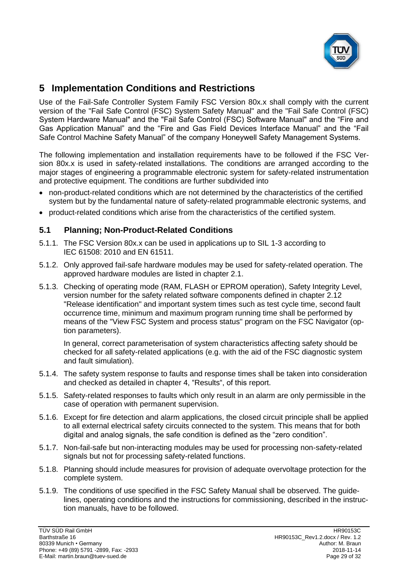

# <span id="page-28-0"></span>**5 Implementation Conditions and Restrictions**

Use of the [Fail-Safe Controller System Family](#page-0-4) [FSC Version 80x.x](#page-0-5) shall comply with the current version of the "Fail Safe Control (FSC) System Safety Manual" and the "Fail Safe Control (FSC) System Hardware Manual" and the "Fail Safe Control (FSC) Software Manual" and the "Fire and Gas Application Manual" and the "Fire and Gas Field Devices Interface Manual" and the "Fail Safe Control Machine Safety Manual" of the company Honeywell Safety Management Systems.

The following implementation and installation requirements have to be followed if the [FSC Ver](#page-0-5)[sion 80x.x](#page-0-5) is used in safety-related installations. The conditions are arranged according to the major stages of engineering a programmable electronic system for safety-related instrumentation and protective equipment. The conditions are further subdivided into

- non-product-related conditions which are not determined by the characteristics of the certified system but by the fundamental nature of safety-related programmable electronic systems, and
- product-related conditions which arise from the characteristics of the certified system.

## **5.1 Planning; Non-Product-Related Conditions**

- 5.1.1. The [FSC Version 80x.x](#page-0-5) can be used in applications up to SIL [1-3](#page-3-1) according to IEC 61508: 2010 and EN 61511.
- 5.1.2. Only approved fail-safe hardware modules may be used for safety-related operation. The approved hardware modules are listed in chapter [2.1.](#page-4-0)
- 5.1.3. Checking of operating mode (RAM, FLASH or EPROM operation), Safety Integrity Level, version number for the safety related software components defined in chapter [2.12](#page-21-0) "Release [identification"](#page-21-0) and important system times such as test cycle time, second fault occurrence time, minimum and maximum program running time shall be performed by means of the "View FSC System and process status" program on the FSC Navigator (option parameters).

In general, correct parameterisation of system characteristics affecting safety should be checked for all safety-related applications (e.g. with the aid of the FSC diagnostic system and fault simulation).

- 5.1.4. The safety system response to faults and response times shall be taken into consideration and checked as detailed in chapter [4,](#page-25-0) ["Results"](#page-25-0), of this report.
- 5.1.5. Safety-related responses to faults which only result in an alarm are only permissible in the case of operation with permanent supervision.
- 5.1.6. Except for fire detection and alarm applications, the closed circuit principle shall be applied to all external electrical safety circuits connected to the system. This means that for both digital and analog signals, the safe condition is defined as the "zero condition".
- 5.1.7. Non-fail-safe but non-interacting modules may be used for processing non-safety-related signals but not for processing safety-related functions.
- 5.1.8. Planning should include measures for provision of adequate overvoltage protection for the complete system.
- 5.1.9. The conditions of use specified in the FSC Safety Manual shall be observed. The guidelines, operating conditions and the instructions for commissioning, described in the instruction manuals, have to be followed.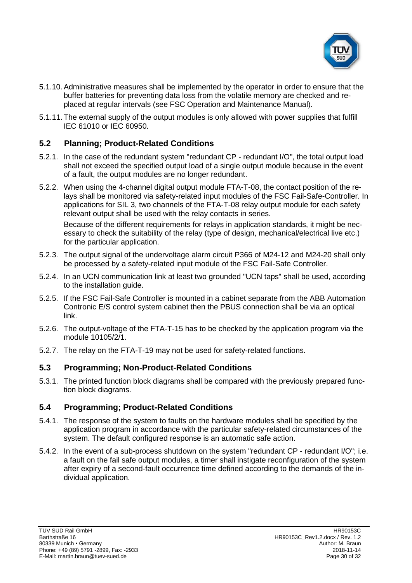

- 5.1.10.Administrative measures shall be implemented by the operator in order to ensure that the buffer batteries for preventing data loss from the volatile memory are checked and replaced at regular intervals (see FSC Operation and Maintenance Manual).
- 5.1.11. The external supply of the output modules is only allowed with power supplies that fulfill IEC 61010 or IEC 60950.

## **5.2 Planning; Product-Related Conditions**

- 5.2.1. In the case of the redundant system "redundant CP redundant I/O", the total output load shall not exceed the specified output load of a single output module because in the event of a fault, the output modules are no longer redundant.
- 5.2.2. When using the 4-channel digital output module FTA-T-08, the contact position of the relays shall be monitored via safety-related input modules of the FSC Fail-Safe-Controller. In applications for SIL 3, two channels of the FTA-T-08 relay output module for each safety relevant output shall be used with the relay contacts in series.

Because of the different requirements for relays in application standards, it might be necessary to check the suitability of the relay (type of design, mechanical/electrical live etc.) for the particular application.

- 5.2.3. The output signal of the undervoltage alarm circuit P366 of M24-12 and M24-20 shall only be processed by a safety-related input module of the FSC Fail-Safe Controller.
- 5.2.4. In an UCN communication link at least two grounded "UCN taps" shall be used, according to the installation guide.
- 5.2.5. If the FSC Fail-Safe Controller is mounted in a cabinet separate from the ABB Automation Contronic E/S control system cabinet then the PBUS connection shall be via an optical link.
- 5.2.6. The output-voltage of the FTA-T-15 has to be checked by the application program via the module 10105/2/1.
- 5.2.7. The relay on the FTA-T-19 may not be used for safety-related functions.

#### **5.3 Programming; Non-Product-Related Conditions**

5.3.1. The printed function block diagrams shall be compared with the previously prepared function block diagrams.

#### **5.4 Programming; Product-Related Conditions**

- 5.4.1. The response of the system to faults on the hardware modules shall be specified by the application program in accordance with the particular safety-related circumstances of the system. The default configured response is an automatic safe action.
- 5.4.2. In the event of a sub-process shutdown on the system "redundant CP redundant I/O"; i.e. a fault on the fail safe output modules, a timer shall instigate reconfiguration of the system after expiry of a second-fault occurrence time defined according to the demands of the individual application.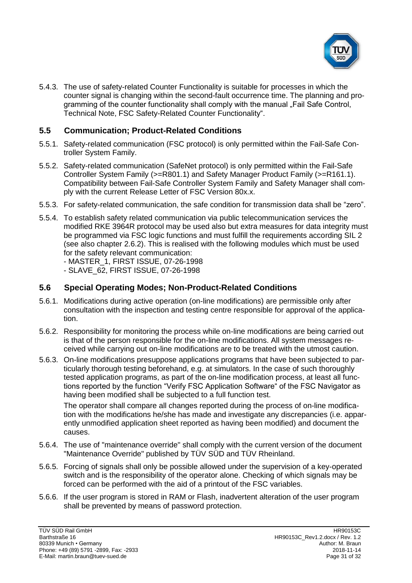

5.4.3. The use of safety-related Counter Functionality is suitable for processes in which the counter signal is changing within the second-fault occurrence time. The planning and programming of the counter functionality shall comply with the manual "Fail Safe Control, Technical Note, FSC Safety-Related Counter Functionality".

## **5.5 Communication; Product-Related Conditions**

- 5.5.1. Safety-related communication (FSC protocol) is only permitted within the [Fail-Safe Con](#page-0-4)[troller System Family.](#page-0-4)
- <span id="page-30-0"></span>5.5.2. Safety-related communication (SafeNet protocol) is only permitted within the [Fail-Safe](#page-0-4)  [Controller System Family](#page-0-4) (>=R801.1) and Safety Manager Product Family (>=R161.1). Compatibility between [Fail-Safe Controller System Family](#page-0-4) and Safety Manager shall comply with the current Release Letter of [FSC Version 80x.x.](#page-0-5)
- 5.5.3. For safety-related communication, the safe condition for transmission data shall be "zero".
- 5.5.4. To establish safety related communication via public telecommunication services the modified RKE 3964R protocol may be used also but extra measures for data integrity must be programmed via FSC logic functions and must fulfill the requirements according SIL 2 (see also chapter [2.6.2\)](#page-19-1). This is realised with the following modules which must be used for the safety relevant communication:

- MASTER\_1, FIRST ISSUE, 07-26-1998

- SLAVE\_62, FIRST ISSUE, 07-26-1998

# **5.6 Special Operating Modes; Non-Product-Related Conditions**

- 5.6.1. Modifications during active operation (on-line modifications) are permissible only after consultation with the inspection and testing centre responsible for approval of the application.
- 5.6.2. Responsibility for monitoring the process while on-line modifications are being carried out is that of the person responsible for the on-line modifications. All system messages received while carrying out on-line modifications are to be treated with the utmost caution.
- 5.6.3. On-line modifications presuppose applications programs that have been subjected to particularly thorough testing beforehand, e.g. at simulators. In the case of such thoroughly tested application programs, as part of the on-line modification process, at least all functions reported by the function "Verify FSC Application Software" of the FSC Navigator as having been modified shall be subjected to a full function test.

The operator shall compare all changes reported during the process of on-line modification with the modifications he/she has made and investigate any discrepancies (i.e. apparently unmodified application sheet reported as having been modified) and document the causes.

- 5.6.4. The use of "maintenance override" shall comply with the current version of the document "Maintenance Override" published by TÜV SÜD and TÜV Rheinland.
- 5.6.5. Forcing of signals shall only be possible allowed under the supervision of a key-operated switch and is the responsibility of the operator alone. Checking of which signals may be forced can be performed with the aid of a printout of the FSC variables.
- 5.6.6. If the user program is stored in RAM or Flash, inadvertent alteration of the user program shall be prevented by means of password protection.